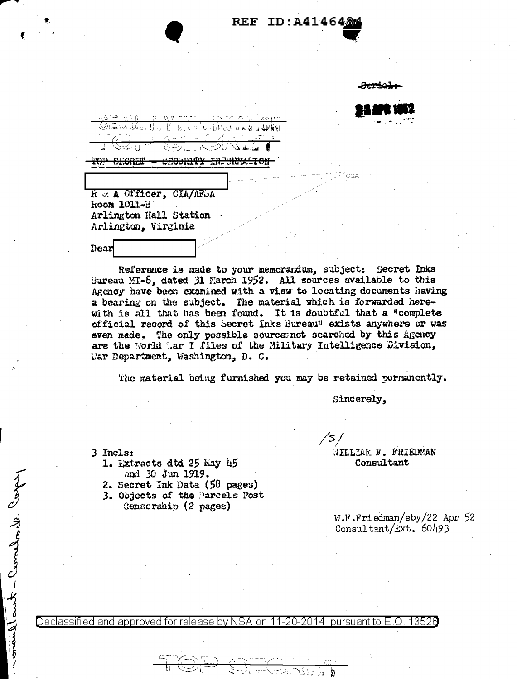#### ID:A414648  $REF$

R & A Officer, CIA/AFGA Room 1011-B Arlington Hall Station

'ר −

**CEGURITY INFURFACTON** 

Arlington, Virginia

Dear

TOP SECRET

Reference is made to your memorandum, subject: Secret Inks Bureau MI-8, dated 31 Narch 1952. All sources available to this Agency have been examined with a view to locating documents having a bearing on the subject. The material which is forwarded here-<br>with is all that has been found. It is doubtful that a "complete official record of this Secret Inks Bureau" exists anywhere or was even made. The only possible sourcesnot searched by this Agency are the World War I files of the Military Intelligence Division, War Department, Washington, D. C.

The material being furnished you may be retained permanently.

Sincerely,

K)

WILLIAM F. FRIEDMAN

Consultant

3 Incls:

consultant - Combodie Corps

- 1. Extracts dtd 25 May 45 and 30 Jun 1919.
- 2. Secret Ink Data (58 pages)
- 3. Objects of the Parcels Post
	- Censorship (2 pages)

W.F.Friedman/eby/22 Apr 52 Consultant/Ext.  $60493$ 

Declassified and approved for release by NSA on 11-20-2014 pursuant to E.O. 13526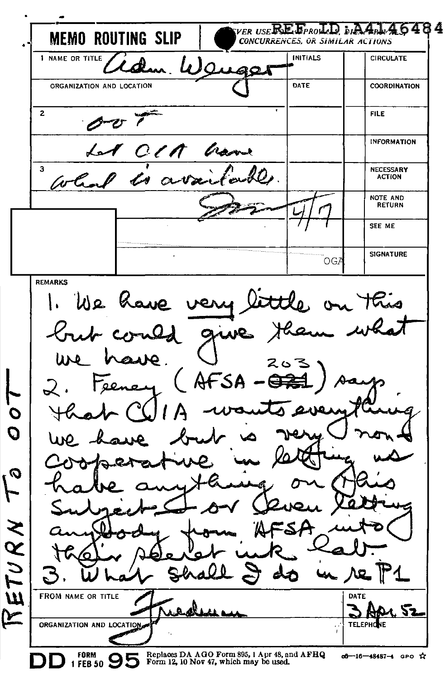VER USERE FPROLD DIA ADD 46484 **MEMO ROUTING SLIP** CONCURRENCES, OR SIMILAR ACTIONS 1 NAME OR TITLE INITIALS CIRCULATE 30 ORGANIZATION AND LOCATION DATE COORDINATION 2 FILE INFORMATION CIA has  $\overline{\mathbf{3}}$ NECESSARY ACTION  $\alpha$ NOTE AND RETURN SEE ME SIGNATURE **OGZ** REMARKS little on this 1. We have very but could give case. ure . AFSA  $22.5$ C  $\overline{O}$ **Q** ト ETURN n FROM NAME OR TITLE DATE سا 52 مح ORGANIZATION AND LOCATION **TELEPHO** hг  $\frac{FORM}{1-FEB~50}$   $\Theta$ Replaces DA AOO Form 895, I Apr 48, and AFBQ of-16-48487-4 GPO ☆

Form 12, 10 *Nov* 47, which may be used.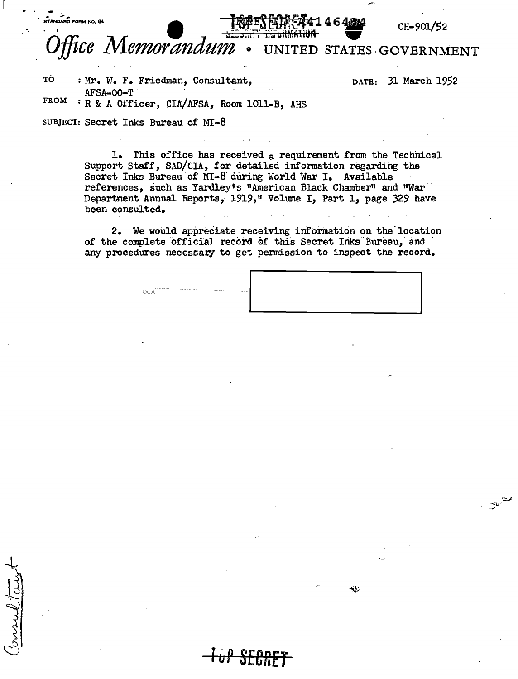ffice Memorandum UNITED STATES GOVERNMENT

1464 A

TÓ : Mr. W. F. Friedman, Consultant. AFSA-00-T

DATE: 31 March 1952

CH-901/52

دينه<br>مستميز

**FROM** : R & A Officer, CIA/AFSA, Room 1011-B, AHS

SUBJECT: Secret Inks Bureau of MT-8

STANDARD FORM NO. 64

marel ta

1. This office has received a requirement from the Technical Support Staff, SAD/CIA, for detailed information regarding the Secret Inks Bureau of MI-8 during World War I. Available references, such as Yardley's "American Black Chamber" and "War Department Annual Reports, 1919," Volume I, Part 1, page 329 have been consulted.

2. We would appreciate receiving information on the location of the complete official record of this Secret Inks Bureau, and any procedures necessary to get permission to inspect the record.

| $G\Lambda$ |  |  |  |  |  |
|------------|--|--|--|--|--|
|            |  |  |  |  |  |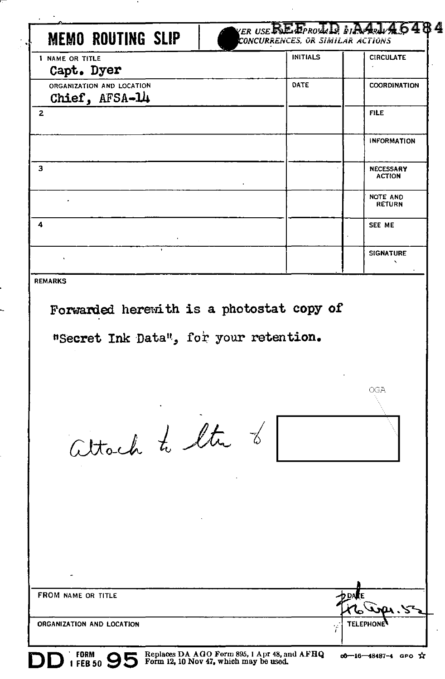| <b>I NAME OR TITLE</b>                                                              | <b>INITIALS</b> | <b>CIRCULATE</b>                  |
|-------------------------------------------------------------------------------------|-----------------|-----------------------------------|
| Capt. Dyer                                                                          |                 |                                   |
| ORGANIZATION AND LOCATION<br>Chief, AFSA-14                                         | DATE            | <b>COORDINATION</b>               |
| 2                                                                                   |                 | <b>FILE</b>                       |
|                                                                                     |                 | <b>INFORMATION</b>                |
| з                                                                                   |                 | <b>NECESSARY</b><br><b>ACTION</b> |
|                                                                                     |                 | <b>NOTE AND</b><br><b>RETURN</b>  |
| 4                                                                                   |                 | SEE ME                            |
|                                                                                     |                 | <b>SIGNATURE</b>                  |
| <b>REMARKS</b>                                                                      |                 |                                   |
| Forwarded herewith is a photostat copy of<br>"Secret Ink Data", for your retention. |                 | OGA                               |
|                                                                                     |                 |                                   |
| altach to liter of                                                                  |                 |                                   |
|                                                                                     |                 |                                   |
|                                                                                     |                 |                                   |
|                                                                                     |                 |                                   |
|                                                                                     |                 |                                   |
| FROM NAME OR TITLE                                                                  |                 |                                   |

l,

п

.  $\overline{\phantom{0}}$  ٠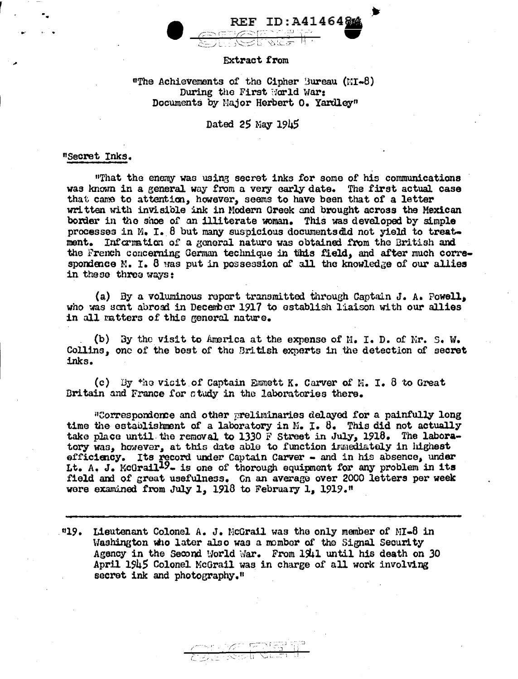

#### Extract from

## "The Achievements of the Cipher 'Sureau (MI-8) During the First Ward War: Documents by Major Herbert o. Yardley"

### Dated 25 May 1945

#### "Secret Inks.

.<br>N

11That the enemy was usil13 secret inks for some of his communications was known in a general way from a very early date. The first actual case that came to attention, however, seems to have been that of a letter written with invisible ink in Modern Greek and brought across the Mexican border in the shoe of an illiterate woman. This was developed by simple processes in M. I. 8 but many suspicious documentsdtd not yield to treatment. Information of a general nature was obtained from the British and the French concerning German technique in this field, and after much correspondence M. I. 8 was put in possession of all the knowledge of our allies in these three ways:

(a) By a voluminous report transmitted through Captain J. A. Powell. who was sent abroad in December 1917 to establish liaison with our allies in all matters of this general nature.

(b) By the visit to America at the expense of  $M$ . I. D. of Mr. S. W. Collins, one of the best of the British experts in the detection of secret inks.

(c) By  $f_{10}$  vicit of Captain Emmett K. Carver of N. I. 8 to Great Britain and France for ctudy in the laboratories there.

"Correspondence and other preliminaries delayed for a painfully long time the establishment of a laboratory in *. I. 8. This did not actually* take place until the removal to 1330 F Street in July, 1918. The laboratory was, however, at this date able to function immediately in highest efficiency. Its record under Captain Carver - and in his absence, under Lt. A. J. McGrail<sup>99</sup>- is one of thorough equipment for any problem in its field and of great usefulness. Gn an average over 2000 letters per week wore examined from July 1. 1918 to February 1. 1919."

 $119.$  Lieutenant Colonel A. J. McGrail was the only member of MI-8 in Washington who later also was a momber of the Signal Security Agency in the Second World War. From 1941 until his death on 30 April 1945 Colonel McGrail was in charge of all work involving secret ink and photography."

> /~~~ r/\* r;= \*\*\* HT\* HT\*  $\mathbb{Z}$ ا الحنكر العرب  $\mathbb{Z}$  ،  $\mathbb{Z}$